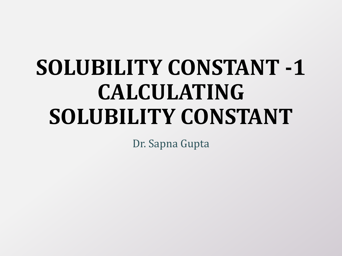# **SOLUBILITY CONSTANT -1 CALCULATING SOLUBILITY CONSTANT**

Dr. Sapna Gupta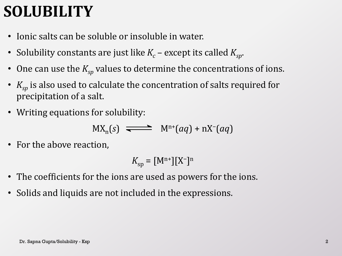### **SOLUBILITY**

- Ionic salts can be soluble or insoluble in water.
- Solubility constants are just like  $K_c$  except its called  $K_{sp}$ .
- One can use the  $K_{sp}$  values to determine the concentrations of ions.
- $K_{sp}$  is also used to calculate the concentration of salts required for precipitation of a salt.
- Writing equations for solubility:

$$
MX_n(s) \implies M^{n+}(aq) + nX^{-}(aq)
$$

• For the above reaction,

$$
K_{\rm sp} = \left[\mathbf{M}^{\rm n+}\right][\mathbf{X}^{\rm -}]^{\rm n}
$$

- The coefficients for the ions are used as powers for the ions.
- Solids and liquids are not included in the expressions.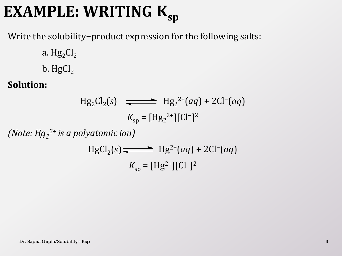## **EXAMPLE: WRITING Ksp**

Write the solubility−product expression for the following salts:

- a.  $Hg_2Cl_2$
- b.  $HgCl<sub>2</sub>$

### **Solution:**

Hg<sub>2</sub>Cl<sub>2</sub>(s) 
$$
\longrightarrow
$$
 Hg<sub>2</sub><sup>2+</sup>(aq) + 2Cl<sup>-</sup>(aq)  
 $K_{sp} = [Hg_2^{2+}][Cl^{-}]^2$ 

*(Note: Hg<sup>2</sup> 2+ is a polyatomic ion)*

HgCl<sub>2</sub>(s) 
$$
\longrightarrow
$$
 Hg<sup>2+</sup>(aq) + 2Cl<sup>-</sup>(aq)  
 $K_{sp} =$ [Hg<sup>2+</sup>][Cl<sup>-</sup>]<sup>2</sup>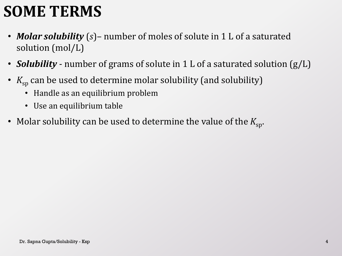### **SOME TERMS**

- *Molar solubility* (*s*)– number of moles of solute in 1 L of a saturated solution (mol/L)
- *Solubility* number of grams of solute in 1 L of a saturated solution (g/L)
- $K_{\rm sp}$  can be used to determine molar solubility (and solubility)
	- Handle as an equilibrium problem
	- Use an equilibrium table
- Molar solubility can be used to determine the value of the  $K_{\rm{sn}}$ .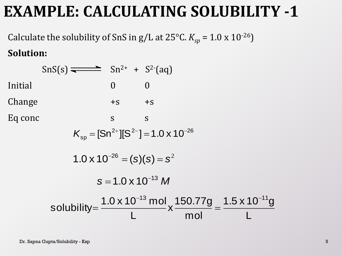### **EXAMPLE: CALCULATING SOLUBILITY -1**

Calculate the solubility of SnS in  $g/L$  at 25°C.  $K_{sp}$  = 1.0 x 10<sup>-26</sup>) **Solution:**

|                             | $\text{SnS}(s) \rightleftharpoons \text{Sn}^{2+} + \text{S}^{2-}(\text{aq})$ |              |                                                                                                                                    |  |  |  |  |  |
|-----------------------------|------------------------------------------------------------------------------|--------------|------------------------------------------------------------------------------------------------------------------------------------|--|--|--|--|--|
| Initial                     |                                                                              | $\mathbf{0}$ | $\Omega$                                                                                                                           |  |  |  |  |  |
| Change                      |                                                                              | $+S$ $+S$    |                                                                                                                                    |  |  |  |  |  |
| Eq conc                     |                                                                              | S            | S                                                                                                                                  |  |  |  |  |  |
|                             |                                                                              |              | $K_{\rm so}=[\rm Sn^{2+}][S^{2-}]=1.0 \times 10^{-26}$                                                                             |  |  |  |  |  |
|                             | $1.0 \times 10^{-26} = (s)(s) = s^2$                                         |              |                                                                                                                                    |  |  |  |  |  |
| $S = 1.0 \times 10^{-13} M$ |                                                                              |              |                                                                                                                                    |  |  |  |  |  |
|                             |                                                                              |              | solubility= $\frac{1.0 \times 10^{-13} \text{ mol}}{L} \times \frac{150.77g}{\text{mol}} = \frac{1.5 \times 10^{-11} g}{L}$<br>mol |  |  |  |  |  |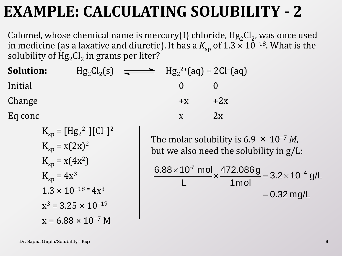### **EXAMPLE: CALCULATING SOLUBILITY - 2**

Calomel, whose chemical name is mercury(I) chloride,  $Hg_2Cl_2$ , was once used in medicine (as a laxative and diuretic). It has a  $K_{\rm sp}$  of 1.3  $\times$  10<sup>–18</sup>. What is the solubility of  $\mathrm{Hg}_{2}\mathrm{Cl}_{2}$  in grams per liter?

| <b>Solution:</b> |  | $Hg_2Cl_2(s)$ $\longrightarrow$ $Hg_2^{2+}(aq) + 2Cl^{-}(aq)$ |       |
|------------------|--|---------------------------------------------------------------|-------|
| Initial          |  | $\mathbf{U}$                                                  |       |
| Change           |  | $+X$                                                          | $+2x$ |
| Eq conc          |  |                                                               | 2x    |

$$
K_{sp} = [Hg_2^{2+}][Cl^-]^2
$$
  
\n
$$
K_{sp} = x(2x)^2
$$
  
\n
$$
K_{sp} = x(4x^2)
$$
  
\n
$$
K_{sp} = 4x^3
$$
  
\n
$$
1.3 \times 10^{-18} = 4x^3
$$
  
\n
$$
x^3 = 3.25 \times 10^{-19}
$$
  
\n
$$
x = 6.88 \times 10^{-7} M
$$

The molar solubility is 6.9 × 10−7 *M*, but we also need the solubility in g/L:

$$
\frac{6.88 \times 10^{-7} \text{ mol}}{L} \times \frac{472.086 \text{ g}}{1 \text{ mol}} = 3.2 \times 10^{-4} \text{ g/L}
$$

$$
= 0.32 \text{ mg/L}
$$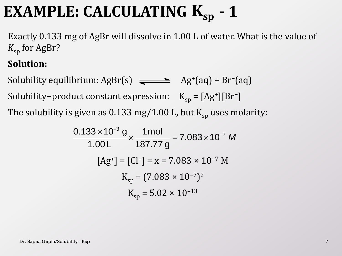### **EXAMPLE: CALCULATING**  $K_{sp}$  **- 1**

Exactly 0.133 mg of AgBr will dissolve in 1.00 L of water. What is the value of  $K_{\rm sn}$  for AgBr?

#### **Solution:**

Solubility equilibrium:  $AgBr(s) \implies Ag^+(aq) + Br^-(aq)$ Solubility−product constant expression:  $K_{sp} = [Ag^+][Br^-]$ The solubility is given as 0.133 mg/1.00 L, but  $\mathrm{K}_{\mathrm{sp}}$  uses molarity:

given as 0.133 mg/1.00 L, but K<sub>sp</sub> uses H  
\n
$$
\frac{0.133 \times 10^{-3} g}{1.00 L} \times \frac{1 mol}{187.77 g} = 7.083 \times 10^{-7} M
$$
\n
$$
[Ag^{+}] = [Cl^{-}] = x = 7.083 \times 10^{-7} M
$$
\n
$$
K_{sp} = (7.083 \times 10^{-7})^{2}
$$
\n
$$
K_{sp} = 5.02 \times 10^{-13}
$$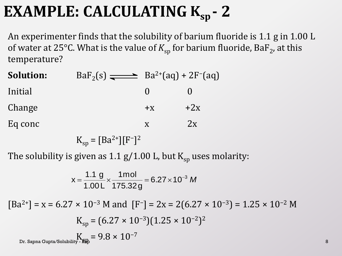### **EXAMPLE: CALCULATING K**<sub>sp</sub> - 2

An experimenter finds that the solubility of barium fluoride is 1.1 g in 1.00 L of water at 25°C. What is the value of  $K_{\rm sp}$  for barium fluoride, BaF<sub>2</sub>, at this temperature?

| $+x$ | $+2x$                                                   |
|------|---------------------------------------------------------|
|      | 2x                                                      |
|      | $BaF_2(s)$ $\longrightarrow$ $Ba^{2+}(aq) + 2F^{-}(aq)$ |

 $K_{sp} = [Ba^{2+}][F^{-}]^{2}$ 

The solubility is given as 1.1 g/1.00 L, but  $K_{\rm SD}$  uses molarity:

$$
x = \frac{1.1 \text{ g}}{1.00 \text{ L}} \times \frac{1 \text{ mol}}{175.32 \text{ g}} = 6.27 \times 10^{-3} \text{ M}
$$

 $[Ba^{2+}] = x = 6.27 \times 10^{-3}$  M and  $[F^-] = 2x = 2(6.27 \times 10^{-3}) = 1.25 \times 10^{-2}$  M  $K_{sp} = (6.27 \times 10^{-3})(1.25 \times 10^{-2})^2$ Dr. Sapna Gupta/Solubility -  $\frac{K}{k} = 9.8 \times 10^{-7}$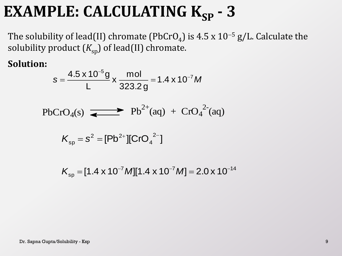### **EXAMPLE: CALCULATING K<sub>SP</sub> - 3**

The solubility of lead(II) chromate (PbCrO<sub>4</sub>) is 4.5 x 10<sup>-5</sup> g/L. Calculate the solubility product  $(K_{sp})$  of lead(II) chromate.

**Solution:**

$$
s = \frac{4.5 \times 10^{-5} g}{L} \times \frac{mol}{323.2 g} = 1.4 \times 10^{-7} M
$$

$$
PbCrO_4(s) \xrightarrow{\bullet} Pb^{2+}(aq) + CrO_4^{2-}(aq)
$$

$$
K_{\rm sp} = s^2 = [Pb^{2+}][CrO_4^{2-}]
$$

$$
K_{\rm sp} = [1.4 \times 10^{-7} M][1.4 \times 10^{-7} M] = 2.0 \times 10^{-14}
$$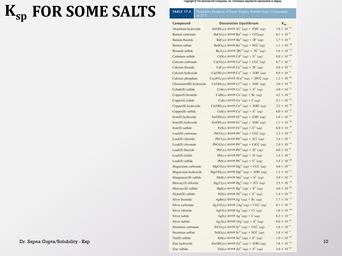## $K_{sp}$  FOR SOME SALTS

Copyright @ The McGraw-Hill Companies, Inc. Permission required for reproduction or display.

#### **TABLE 17.4** Solubility Products of Some Slightly Soluble Ionic Compounds<br>at 25°C

| Compound                | <b>Dissolution Equilibrium</b>                                                          | $K_{\rm sp}$          |
|-------------------------|-----------------------------------------------------------------------------------------|-----------------------|
| Aluminum hydroxide      | Al(OH) <sub>3</sub> (s) $\longrightarrow$ Al <sup>3+</sup> (aq) + 3OH <sup>-</sup> (aq) | $1.8 \times 10^{-33}$ |
| Barium carbonate        | $BaCO3(s) \rightleftharpoons Ba2+(aq) + CO3(aq)$                                        | $8.1 \times 10^{-9}$  |
| Barium fluoride         | $BaF_2(s) \rightleftharpoons Ba^{2+}(aq) + 2F^-(aq)$                                    | $1.7 \times 10^{-6}$  |
| Barium sulfate          | $BaSO_4(s) \longrightarrow Ba^{2+}(aq) + SO_4^{2-}(aq)$                                 | $1.1\times10^{-10}$   |
| <b>Bismuth sulfide</b>  | $Bi_2S_3(s) \rightleftharpoons 2Bi^{3+}(aq) + 3S^{2-}(aq)$                              | $1.6 \times 10^{-72}$ |
| Cadmium sulfide         | $\text{CdS}(s) \rightleftharpoons \text{Cd}^{2+}(aq) + \text{S}^{2-}(aq)$               | $8.0 \times 10^{-28}$ |
| Calcium carbonate       | $CaCO3(s) \rightleftharpoons Ca2+(aq) + CO32-(aq)$                                      | $8.7 \times 10^{-9}$  |
| Calcium fluoride        | $CaF2(s) \rightleftharpoons Ca2+(aq) + 2F-(aq)$                                         | $4.0 \times 10^{-11}$ |
| Calcium hydroxide       | $Ca(OH)2(s) \rightleftharpoons Ca2+(aq) + 2OH-(aq)$                                     | $8.0 \times 10^{-6}$  |
| Calcium phosphate       | $Ca_3(PO_4)_2(s) \rightleftharpoons 3Ca^{2+}(aq) + 2PO_4^{3-}(aq)$                      | $1.2 \times 10^{-26}$ |
| Chromium(III) hydroxide | $Cr(OH)3(s) \rightleftharpoons Cr3+(aq) + 3OH-(aq)$                                     | $3.0 \times 10^{-29}$ |
| Cobalt(II) sulfide      | $\cos(s) \rightleftharpoons \cos^{2+}(aq) + S^{2-}(aq)$                                 | $4.0\times10^{-21}$   |
| Copper(I) bromide       | $CuBr(s) \rightleftarrows Cu^+(aq) + Br^-(aq)$                                          | $4.2 \times 10^{-8}$  |
| Copper(I) iodide        | $Cul(s) \rightleftarrows Cu^+(aq) + \Gamma(aq)$                                         | $5.1 \times 10^{-12}$ |
| Copper(II) hydroxide    | $Cu(OH)2(s) \rightleftharpoons Cu2+(aq) + 2OH-(aq)$                                     | $2.2 \times 10^{-20}$ |
| Copper(II) sulfide      | $CuS(s) \rightleftharpoons Cu^{2+}(aq) + S^{2-}(aq)$                                    | $6.0 \times 10^{-37}$ |
| Iron(II) hydroxide      | $Fe(OH)_{2}(s) \rightleftharpoons Fe^{2+}(aq) + 2OH^{-}(aq)$                            | $1.6 \times 10^{-14}$ |
| Iron(III) hydroxide     | $\text{Fe(OH)}_3(s) \rightleftharpoons \text{Fe}^{3+}(aq) + 3\text{OH}^-(aq)$           | $1.1\times10^{-36}$   |
| Iron(II) sulfide        | $\text{FeS}(s) \rightleftharpoons \text{Fe}^{2+}(ag) + \text{S}^{2-}(ag)$               | $6.0 \times 10^{-19}$ |
| Lead(II) carbonate      | $PbCO3(s) \rightleftharpoons Pb2+(aq) + CO32-(aq)$                                      | $3.3 \times 10^{-14}$ |
| Lead(II) chloride       | $PbCl2(s) \rightleftharpoons Pb2+(aq) + 2Cl-(aq)$                                       | $2.4\times10^{-4}$    |
| Lead(II) chromate       | $PbCrO4(s) \rightleftharpoons Pb2+(aq) + CrO42-(aq)$                                    | $2.0 \times 10^{-14}$ |
| Lead(II) fluoride       | $PbF_2(s) \rightleftharpoons Pb^{2+}(aq) + 2F'(aq)$                                     | $4.0\times10^{-8}$    |
| Lead(II) iodide         | $PbI_2(s) \rightleftharpoons Pb^{2+}(aq) + 2I^-(aq)$                                    | $1.4 \times 10^{-8}$  |
| Lead(II) sulfide        | $PbS(s) \rightleftharpoons Pb^{2+}(aq) + S^{2-}(aq)$                                    | $3.4 \times 10^{-28}$ |
| Magnesium carbonate     | $MgCO3(s) \rightleftharpoons Mg2+(aq) + CO32-(aq)$                                      | $4.0\times10^{-5}$    |
| Magnesium hydroxide     | $Mg(OH)_{2}(s) \rightleftharpoons Mg^{2+}(aq) + 2OH^{-}(aq)$                            | $1.2 \times 10^{-11}$ |
| Manganese(II) sulfide   | $MnS(s) \rightleftharpoons Mn^{2+}(aq) + S^{2-}(aq)$                                    | $3.0\times10^{-14}$   |
| Mercury(I) chloride     | $Hg_2Cl_2(s) \rightleftharpoons Hg_2^{2+}(aq) + 2Cl^-(aq)$                              | $3.5 \times 10^{-18}$ |
| Mercury(II) sulfide     | $HgS(s) \longrightarrow Hg^{2+}(aq) + S^{2-}(aq)$                                       | $4.0\times10^{-54}$   |
| Nickel(II) sulfide      | $NiS(s) \rightleftharpoons Ni^{2+}(aq) + S^{2-}(aq)$                                    | $1.4\times10^{-24}$   |
| Silver bromide          | $AgBr(s) \longrightarrow Ag^+(aq) + Br^-(aq)$                                           | $7.7\times10^{-13}$   |
| Silver carbonate        | $Ag_2CO_3(s) \rightleftharpoons 2Ag'(aq) + CO_3^2(qq)$                                  | $8.1 \times 10^{-12}$ |
| Silver chloride         | $AgCl(s) \rightleftharpoons Ag^+(aq) + Cl^-(aq)$                                        | $1.6 \times 10^{-10}$ |
| Silver iodide           | AgI(s) $\longrightarrow$ Ag <sup>+</sup> (aq) + I <sup>-</sup> (aq)                     | $8.3 \times 10^{-17}$ |
| Silver sulfide          | $Ag_2S(s) \longrightarrow 2Ag^+(aq) + S^2(aq)$                                          | $6.0 \times 10^{-51}$ |
| Strontium carbonate     | $SrCO3(s) \rightleftharpoons Sr^{2+}(aq) + CO3-(aq)$                                    | $1.6 \times 10^{-9}$  |
| Strontium sulfate       | $SrSO4(s) \rightleftharpoons Sr2+(aq) + SO42-(aq)$                                      | $3.8 \times 10^{-7}$  |
| Tin(II) sulfide         | $\text{SnS}(s) \rightleftharpoons \text{Sn}^{2+}(aq) + \text{S}^{2-}(aq)$               | $1.0 \times 10^{-26}$ |
| Zinc hydroxide          | $Zn(OH)2(s) \rightleftharpoons Zn2+(aq) + 2OH-(aq)$                                     | $1.8 \times 10^{-14}$ |
| Zinc sulfide            | $ZnS(s) \rightleftharpoons Zn^{2+}(aa) + S^{2-}(aa)$                                    | $3.0 \times 10^{-23}$ |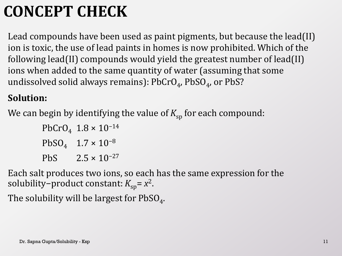### **CONCEPT CHECK**

Lead compounds have been used as paint pigments, but because the lead(II) ion is toxic, the use of lead paints in homes is now prohibited. Which of the following lead(II) compounds would yield the greatest number of lead(II) ions when added to the same quantity of water (assuming that some undissolved solid always remains):  $\mathrm{PbCrO}_4$ ,  $\mathrm{PbSO}_4$ , or  $\mathrm{PbS?}$ 

#### **Solution:**

We can begin by identifying the value of  $K_{\text{sp}}$  for each compound:

PbCrO<sub>4</sub>  $1.8 \times 10^{-14}$  $PbSO_4$  1.7 × 10<sup>-8</sup> PbS  $2.5 \times 10^{-27}$ 

Each salt produces two ions, so each has the same expression for the solubility−product constant: *K*<sub>sp</sub>= *x*<sup>2</sup>.

The solubility will be largest for  $\mathrm{PbSO}_{4}$ .